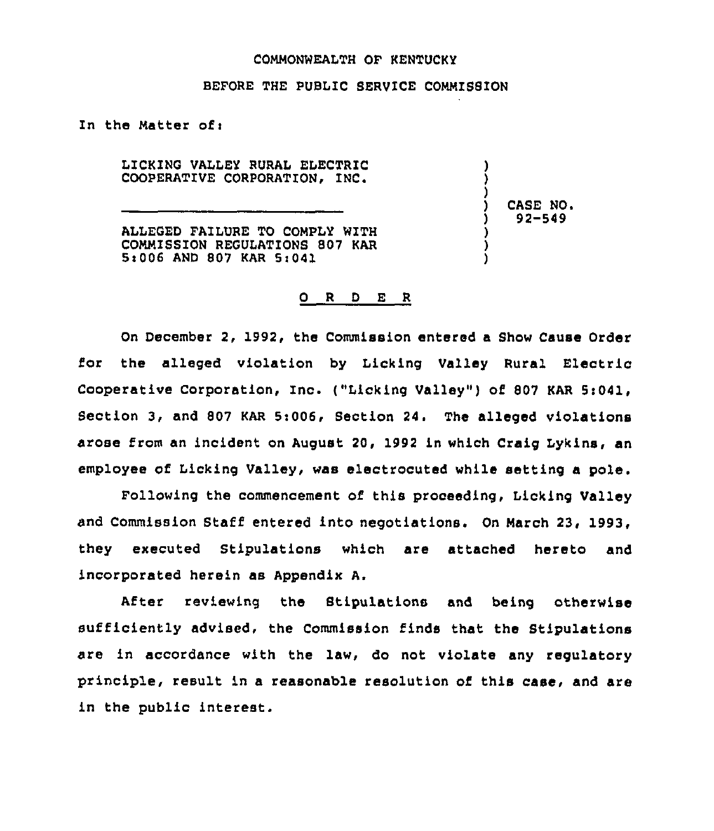## COMMONWEALTH OF KENTUCKY

## BEFORE THE PUBLIC SERV1CE COMMIS8ION

In the Matter of:

LICKING VALLEY RURAL ELECTRIC COOPERATIVE CORPORATION, INC.

ALLEGED FAILURE TO COMPLY WITH COMMISSION REGULATIONS 807 KAR 5t006 AND 807 KAR 5>041

) CASE NQ. ) 92-549

) ) )

) ) )

## 0 <sup>R</sup> <sup>D</sup> E <sup>R</sup>

On December 2, 1992, the Commission entered a Show Cause Order for the alleged violation by Licking Valley Rural Electric Cooperative Corporation, Inc. ("Licking Valley") of 807 KAR 5:041, Section 3, and 807 KAR 5:006, Section 24. The alleged violations arose from an incident on August 20, 1992 in which Craig Lykins, an employee of Licking Valley, was electrocuted while setting a pole.

Following the commencement of this proceeding, Licking Valley and Commission Staff entered into negotiations. On March 23, 1993, they executed Stipulations which are attached hereto and incorporated herein as Appendix A.

After reviewing the Stipulations and being otherwise sufficiently advised, the Commission finds that the Stipulations are in accordance with the law, do not violate any regulatory principle, result in a reasonable resolution of this case, and are in the public interest.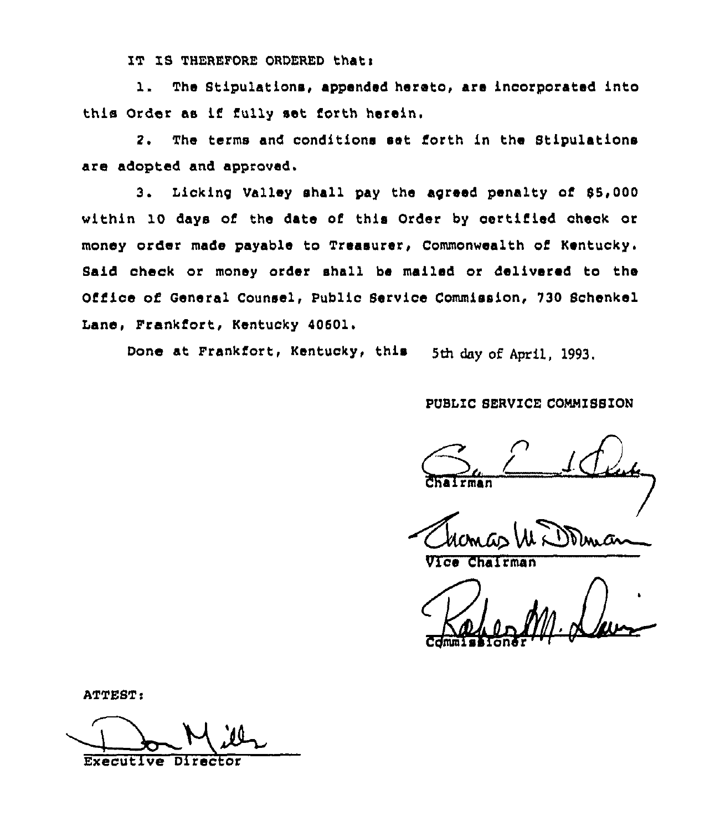IT IS THEREFORE ORDERED thati

l. The Stipulations, appended hereto, are incorporated into this Order as if fully set forth herein.

2. The terms and conditions set forth in the Stipulations are adopted and approved.

3. Lickinq Valley shall pay the agreed penalty of 55,000 within 10 days of the date of this Order by certified check or money order made payable to Treasurer, Commonwealth of Kentucky. Said check or money order shall be mailed or delivered to the Office of General Counsel, Public Service Commission, 730 Schenkel Lane, Frankfort, Kentucky 40601.

Done at Frankfort, Kentucky, this 5th day of April, 1993.

# PUBLIC SERVICE COMMISSION

 $\sum_{\text{chiffing}}$ rman

**Velant Chair** 

ATTEST:

Executive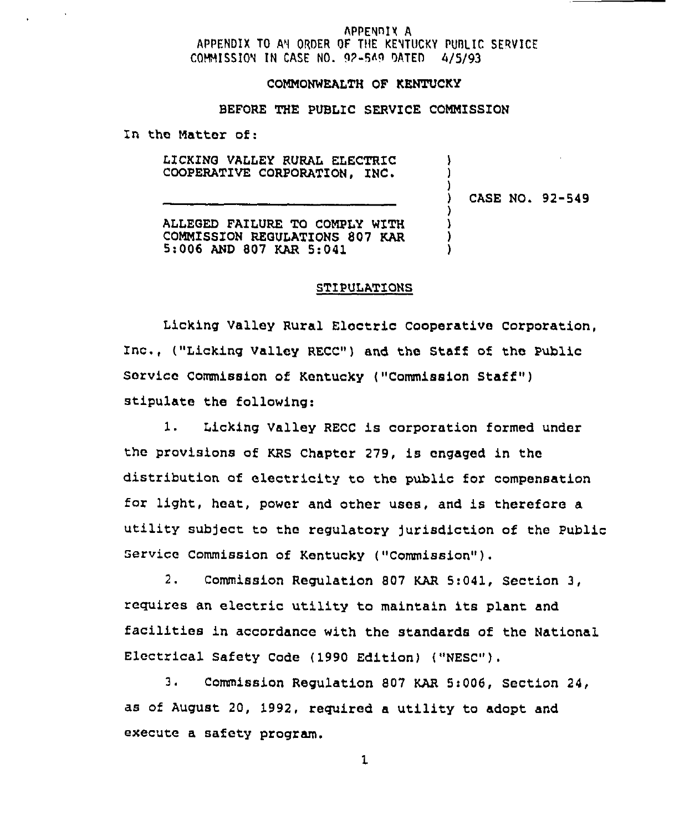## APPENDIX A APPENDIX TO AN ORDER OF THE KENTUCKY PUBLIC SERVICE COHMISSION IN CASE ND. 9P-549 DATED 4/5/93

#### COMMONWEALTH OF KENTUCKY

# BEFORE THE PUBLIC SERVICE COMMISSION

In the Matter of:

LICKING VALLEY RURAL ELECTRIC COOPERATIVE CORPORATION, INC.

) CASE NO. 92-549

) ) )

) 1 ) )

ALLEGED FAILURE TO COMPLY WITH COMMISSION REGULATIONS 807 KAR<br>5:006 AND 807 KAR 5:041

## STIPULATIONS

Licking Valley Rural Electric cooperative corporation, Inc., ("Licking Valley RECC") and the Staff of the Public Service Commission of Kentucky ("Commission Staff" ) stipulate the following:

1. Licking Valley RECC is corporation formed under the provisions of KRs chapter 279, is engaged in the distribution af electricity to the public for compensation for light, heat, power and other uses, and is therefare a utility subject ta the regulatory jurisdiction of the Public Service Commission of Kentucky ( "Commission" ) .

2. Commission Regulation 807 KAR 5:041, Section 3, requires an electric utility to maintain its plant and facilities in accordance with the standards of the National Electrical Safety Code (1990 Edition) ("NESC").

3. Commission Regulation 807 KAR 5:006, Section 24, as of August 20, 1992, required a utility to adopt and execute a safety program.

 $\mathbf{1}$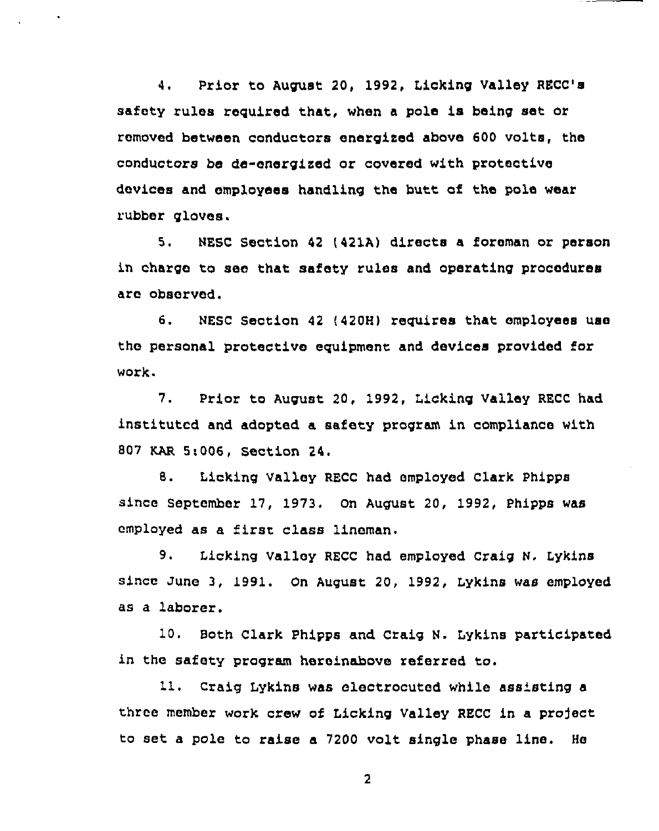4. Prior to August 20, 1992, Licking Valley RECC's safety rules required that, when a pole is being set or removed between conductors energized above 600 volts, the conductors be de-energized or covered with protective devices and employees handling the butt of the pole wear rubber gloves.

5. NESC Section 42 (421A) directs a foreman or person in charge to see that safety rules and operating procedures are observed.

6. NESC Section 42 {420H) requires that employees use the personal protective equipment and devices provided for work.

7. Prior to August 20, 1992, Licking Valley RECC had instituted and adopted a safety program in compliance with 807 KAR 5;006, Section 24.

8. Licking Valley RECC had employed Clark Phipps since september 17, 1973. on August 20, 1992, phipps was employed as <sup>a</sup> first class lineman.

9. Licking Valley RECC had employed Craig N. Lykins since June 3, 1991. On August 20, 1992, Lykins was employed as a laborer.

10. Both Clark Phipps and, craig N. Lykins participated in the safety pzogram hereinabove referred to.

11. Craig Lykins was electrocuted while ass'sting a three member work crew of Licking Valley RECC in a project to set a pole to raise a 7200 volt single phase line. He

 $\overline{2}$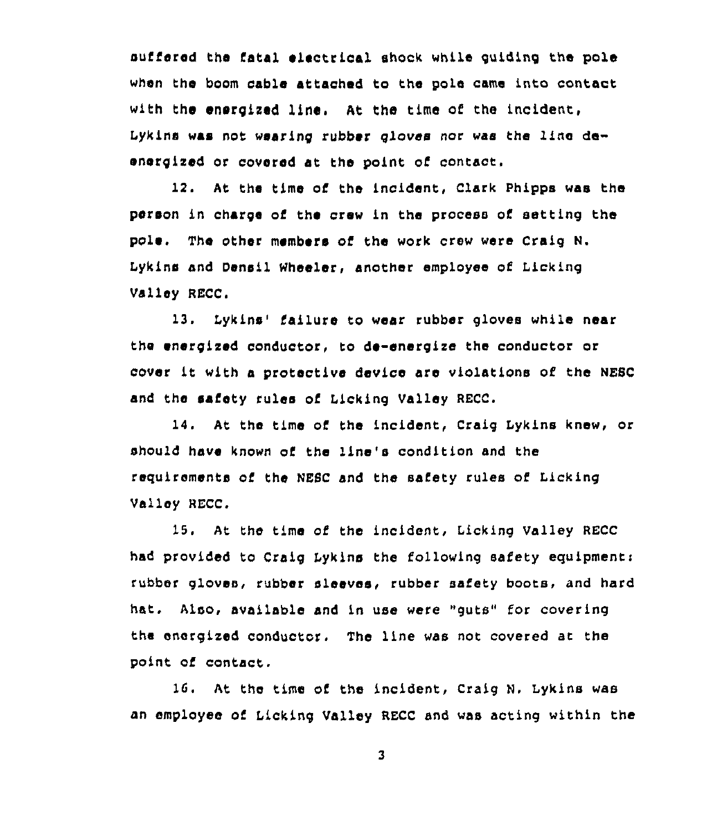suffered the fatal electrical shock while guiding the pole when the boom cable attached to the pole came into contact with the energized line. At the time of the incident, Lykins was not wearing rubber gloves nor was the line deenergized or covered st the paint of contact.

12. At the time of the incident, Clark Phipps was the person in charge of the crew in the process of setting the pole. The other members of the work crew were craig N. Lykins and Densil Wheeler, another employee of Licking Valley RECC.

13. Lykins' failure to wear rubber gloves while near the energized conductor, to de-energize the conductor or cover it with a protective device are violations of the NESC and the safety rules of Licking Valley RECC.

14. At the time of the incident, Craig Lykins knew, or should have known of the line's condition and the requirements of the NEsc snd the safety rules of Licking Valley RECC.

15. At the time af the incident, Licking Valley RECC hsd provided to Craig Iykins the following safety equipment: rubber gloves, rubber sleeves, rubber safety boots, and hard hat. Also, available and in use were "guts" for covering the energized conductor. The line was not covered at the point of contact.

1G. At the time af the incident, Craig N. Lykins was an employee of Licking Valley RECC and was acting within the

 $\overline{\mathbf{3}}$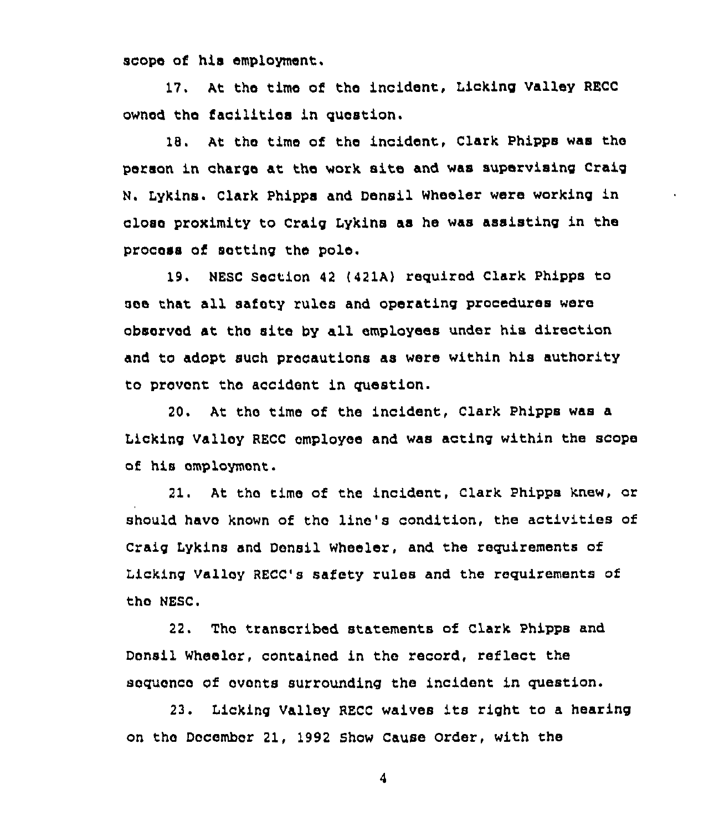scope of his employment.

17. At tho time of the incident, Licking Valley RECC ownod tho facilities in question.

18. At the time of the incident, Clark Phipps was tho person in charge at tho work site and was supervising Craig N. Lykins. Clark Phipps and Densil Wheeler were working in close proximity to Craig Lykins as he was assisting in the process of setting the pole.

19. NESC Section <sup>42</sup> (421A) required Clark Phipps to see that all safety rules and operating procedures were observed at tho site by all employees under his direction and to adopt such precautions as were within his authority to prevent tho accidont in question.

20. At tho time of the incident, Clark Phipps was a Licking Valley RECC employee and was acting within the scope of his omploymont.

21. At tho time of the incident, Clark Phippa knew, or should have known of tho line's condition, the activities of Craig Lykins and Donsil wheeler, and the requirements of Licking Valloy RECC's safety rules and the requirements of the NESC.

22. Tho transcribod statements of clark Phipps and Donsil Wheelor, contained in tho record, reflect the soquonco of ovonts surrounding the incident in question.

23. Licking Valley RECC waives its right to <sup>a</sup> hearing on tho December 21, 1992 Show Cause order, with the

4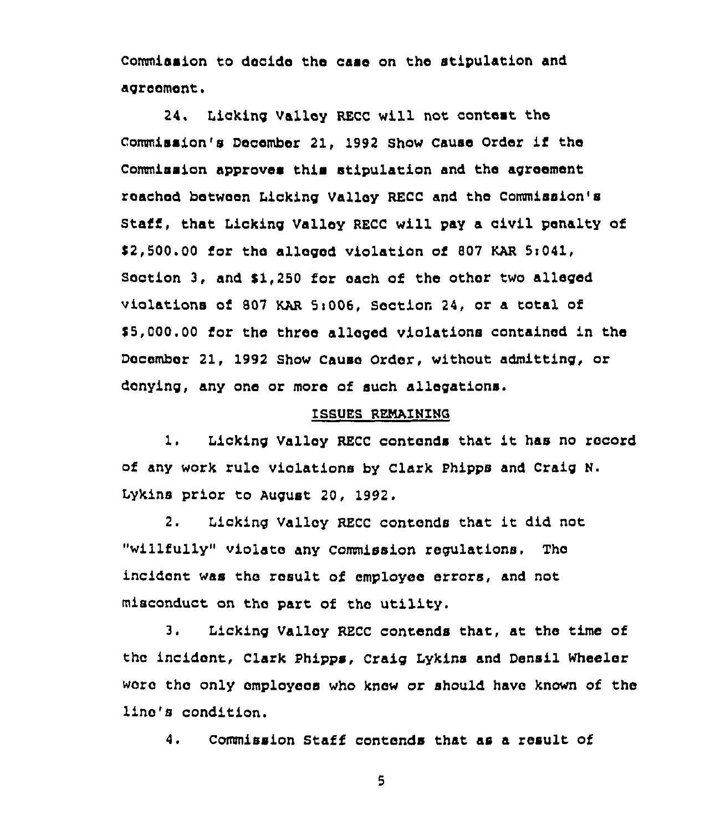Commission to decido the case on the stipulation and agroomont.

24. Licking Valley RECC will not contest the Commission's Decembor 21, <sup>1992</sup> Show Cause Order if tho commission approves this stipulation and the agreement roachod botwoon Licking Valley RECC and the Commission's Staff, that Licking Valley RECC will pay a civil penalty of \$ 2,500.00 fox tho alleged violation of 807 KAR 5i041, Section 3, and \$1,250 for each of the other two alleged violations of 807 KAR 5:006, Section 24, or a total of \$ 5,000.00 for tho three allogod violations contained in the Docembor 21, 1992 Show Cause Order, without admitting, or denying, any one or more of such allegations.

## ISSUES RENAINING

1. Licking Valley RECC contends that it has no record of any work rule violations by clark phipps and Craig N. Lykins prior to August 20, 1992.

2. Licking Valley RECC contends that it did not "willfully" violate any commission regulations. Tho incident was tho result of employee errors, and not misconduct on the part of tho utility.

3. Licking Valley RECC contends that, at tho time of tho incidont, Clark phipps, Craig Lykins and Densil Wheeler wora tho only omployeos who knew or should have known of the line's condition.

4. Commission Staff contends that as a result of

5